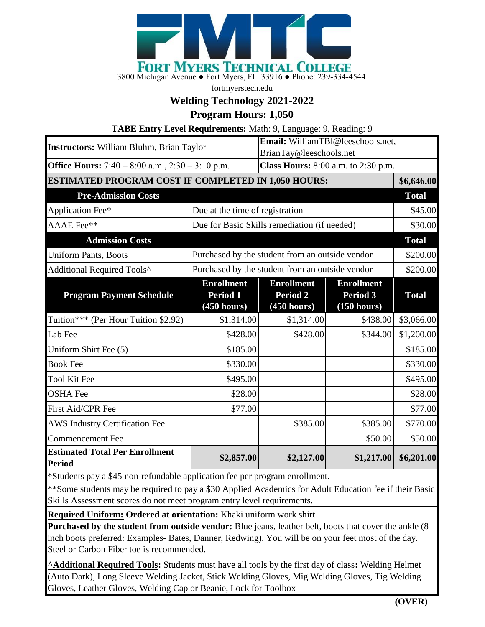

fortmyerstech.edu

## **Welding Technology 2021-2022**

**Program Hours: 1,050**

**TABE Entry Level Requirements:** Math: 9, Language: 9, Reading: 9

| <b>Instructors:</b> William Bluhm, Brian Taylor                                                                                    |                                                 | Email: WilliamTB1@leeschools.net,                              |                                              |              |
|------------------------------------------------------------------------------------------------------------------------------------|-------------------------------------------------|----------------------------------------------------------------|----------------------------------------------|--------------|
| <b>Office Hours:</b> 7:40 – 8:00 a.m., $2:30 - 3:10$ p.m.                                                                          |                                                 | BrianTay@leeschools.net<br>Class Hours: 8:00 a.m. to 2:30 p.m. |                                              |              |
| ESTIMATED PROGRAM COST IF COMPLETED IN 1,050 HOURS:                                                                                |                                                 |                                                                |                                              | \$6,646.00   |
| <b>Pre-Admission Costs</b>                                                                                                         |                                                 |                                                                |                                              | <b>Total</b> |
| Application Fee*                                                                                                                   | Due at the time of registration                 |                                                                |                                              | \$45.00      |
|                                                                                                                                    | Due for Basic Skills remediation (if needed)    |                                                                |                                              |              |
| AAAE Fee**                                                                                                                         |                                                 |                                                                |                                              | \$30.00      |
| <b>Admission Costs</b>                                                                                                             |                                                 |                                                                |                                              | <b>Total</b> |
| <b>Uniform Pants, Boots</b>                                                                                                        | Purchased by the student from an outside vendor |                                                                |                                              | \$200.00     |
| Additional Required Tools^                                                                                                         | Purchased by the student from an outside vendor |                                                                |                                              | \$200.00     |
| <b>Program Payment Schedule</b>                                                                                                    | <b>Enrollment</b><br>Period 1<br>(450 hours)    | <b>Enrollment</b><br><b>Period 2</b><br>(450 hours)            | <b>Enrollment</b><br>Period 3<br>(150 hours) | <b>Total</b> |
| Tuition*** (Per Hour Tuition \$2.92)                                                                                               | \$1,314.00                                      | \$1,314.00                                                     | \$438.00                                     | \$3,066.00   |
| Lab Fee                                                                                                                            | \$428.00                                        | \$428.00                                                       | \$344.00                                     | \$1,200.00   |
| Uniform Shirt Fee (5)                                                                                                              | \$185.00                                        |                                                                |                                              | \$185.00     |
| <b>Book Fee</b>                                                                                                                    | \$330.00                                        |                                                                |                                              | \$330.00     |
| <b>Tool Kit Fee</b>                                                                                                                | \$495.00                                        |                                                                |                                              | \$495.00     |
| <b>OSHA Fee</b>                                                                                                                    | \$28.00                                         |                                                                |                                              | \$28.00      |
| First Aid/CPR Fee                                                                                                                  | \$77.00                                         |                                                                |                                              | \$77.00      |
| <b>AWS Industry Certification Fee</b>                                                                                              |                                                 | \$385.00                                                       | \$385.00                                     | \$770.00     |
| <b>Commencement Fee</b>                                                                                                            |                                                 |                                                                | \$50.00                                      | \$50.00      |
| <b>Estimated Total Per Enrollment</b><br>Period<br>$*$ Students nove $*$ 45 non refundable equipment for no nor program envolument | \$2,857.00                                      | \$2,127.00                                                     | \$1,217.00                                   | \$6,201.00   |

Students pay a \$45 non-refundable application fee per program enrollment.

\*\*Some students may be required to pay a \$30 Applied Academics for Adult Education fee if their Basic Skills Assessment scores do not meet program entry level requirements.

**Required Uniform: Ordered at orientation:** Khaki uniform work shirt

**Purchased by the student from outside vendor:** Blue jeans, leather belt, boots that cover the ankle (8 inch boots preferred: Examples- Bates, Danner, Redwing). You will be on your feet most of the day. Steel or Carbon Fiber toe is recommended.

**^Additional Required Tools:** Students must have all tools by the first day of class**:** Welding Helmet (Auto Dark), Long Sleeve Welding Jacket, Stick Welding Gloves, Mig Welding Gloves, Tig Welding Gloves, Leather Gloves, Welding Cap or Beanie, Lock for Toolbox